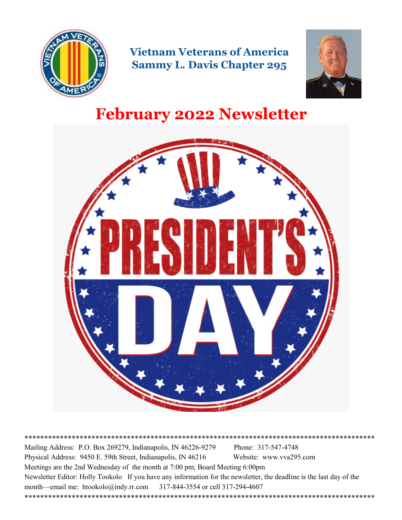

**Vietnam Veterans of America Sammy L. Davis Chapter 295**



# **February 2022 Newsletter**



\*\*\*\*\*\*\*\*\*\*\*\*\*\*\*\*\*\*\*\*\*\*\*\*\*\*\*\*\*\*\*\*\*\*\*\*\*\*\*\*\*\*\*\*\*\*\*\*\*\*\*\*\*\*\*\*\*\*\*\*\*\*\*\*\*\*\*\*\*\*\*\*\*\*\*\*\*\*\*\*\*\*\*\*\*\*\*\*\* Mailing Address: P.O. Box 269279, Indianapolis, IN 46226-9279 Phone: 317-547-4748 Physical Address: 9450 E. 59th Street, Indianapolis, IN 46216 Website: www.vva295.com Meetings are the 2nd Wednesday of the month at 7:00 pm; Board Meeting 6:00pm Newsletter Editor: Holly Tookolo If you have any information for the newsletter, the deadline is the last day of the month—email me: htookolo@indy.rr.com 317-844-3554 or cell 317-294-4607 \*\*\*\*\*\*\*\*\*\*\*\*\*\*\*\*\*\*\*\*\*\*\*\*\*\*\*\*\*\*\*\*\*\*\*\*\*\*\*\*\*\*\*\*\*\*\*\*\*\*\*\*\*\*\*\*\*\*\*\*\*\*\*\*\*\*\*\*\*\*\*\*\*\*\*\*\*\*\*\*\*\*\*\*\*\*\*\*\*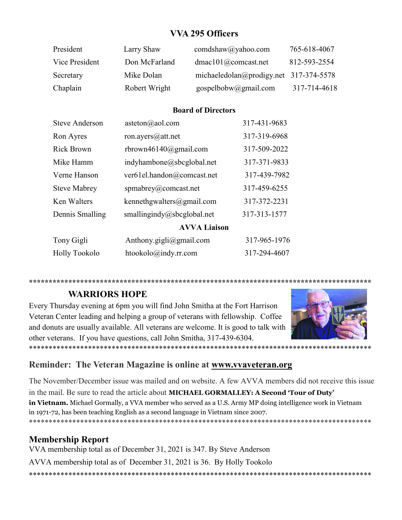## **VVA 295 Officers**

| President      | Larry Shaw    | comdshaw@yahoo.com                       | 765-618-4067 |
|----------------|---------------|------------------------------------------|--------------|
| Vice President | Don McFarland | dmac101@comcast.net                      | 812-593-2554 |
| Secretary      | Mike Dolan    | michaeledolan@prodigy.net $317-374-5578$ |              |
| Chaplain       | Robert Wright | gospelbobw@gmail.com                     | 317-714-4618 |

#### **Board of Directors**

| <b>Steve Anderson</b> | asteton $(a)$ aol.com          | 317-431-9683 |
|-----------------------|--------------------------------|--------------|
| Ron Ayres             | ron.ayers@att.net              | 317-319-6968 |
| <b>Rick Brown</b>     | rbrown46140@gmail.com          | 317-509-2022 |
| Mike Hamm             | indyhambone@sbcglobal.net      | 317-371-9833 |
| Verne Hanson          | ver61el.handon@comcast.net     | 317-439-7982 |
| <b>Steve Mabrey</b>   | spmabrey@comcast.net           | 317-459-6255 |
| Ken Walters           | kennethgwalters@gmail.com      | 317-372-2231 |
| Dennis Smalling       | smallingindy@sbcglobal.net     | 317-313-1577 |
|                       | <b>AVVA Liaison</b>            |              |
| Tony Gigli            | Anthony.gigli@gmail.com        | 317-965-1976 |
| <b>Holly Tookolo</b>  | $htookolo(\omega)$ indy.rr.com | 317-294-4607 |
|                       |                                |              |

**\*\*\*\*\*\*\*\*\*\*\*\*\*\*\*\*\*\*\*\*\*\*\*\*\*\*\*\*\*\*\*\*\*\*\*\*\*\*\*\*\*\*\*\*\*\*\*\*\*\*\*\*\*\*\*\*\*\*\*\*\*\*\*\*\*\*\*\*\*\*\*\*\*\*\*\*\*\*\*\*\*\*\*\*\*\*\***

### **WARRIORS HOPE**

Every Thursday evening at 6pm you will find John Smitha at the Fort Harrison Veteran Center leading and helping a group of veterans with fellowship. Coffee and donuts are usually available. All veterans are welcome. It is good to talk with other veterans. If you have questions, call John Smitha, 317-439-6304.



### **Reminder: The Veteran Magazine is online at [www.vvaveteran.org](https://avva.us9.list-manage.com/track/click?u=4ab4860ec05a1a8f83e175e63&id=738858a3be&e=672acd907e)**

The November/December issue was mailed and on website. A few AVVA members did not receive this issue in the mail. Be sure to read the article about **MICHAEL GORMALLEY: A Second 'Tour of Duty' in Vietnam.** Michael Gormally, a VVA member who served as a U.S. Army MP doing intelligence work in Vietnam in 1971-72, has been teaching English as a second language in Vietnam since 2007. \*\*\*\*\*\*\*\*\*\*\*\*\*\*\*\*\*\*\*\*\*\*\*\*\*\*\*\*\*\*\*\*\*\*\*\*\*\*\*\*\*\*\*\*\*\*\*\*\*\*\*\*\*\*\*\*\*\*\*\*\*\*\*\*\*\*\*\*\*\*\*\*\*\*\*\*\*\*\*\*\*\*\*\*\*\*\*

\*\*\*\*\*\*\*\*\*\*\*\*\*\*\*\*\*\*\*\*\*\*\*\*\*\*\*\*\*\*\*\*\*\*\*\*\*\*\*\*\*\*\*\*\*\*\*\*\*\*\*\*\*\*\*\*\*\*\*\*\*\*\*\*\*\*\*\*\*\*\*\*\*\*\*\*\*\*\*\*\*\*\*\*\*\*\*

### **Membership Report**

VVA membership total as of December 31, 2021 is 347. By Steve Anderson

AVVA membership total as of December 31, 2021 is 36. By Holly Tookolo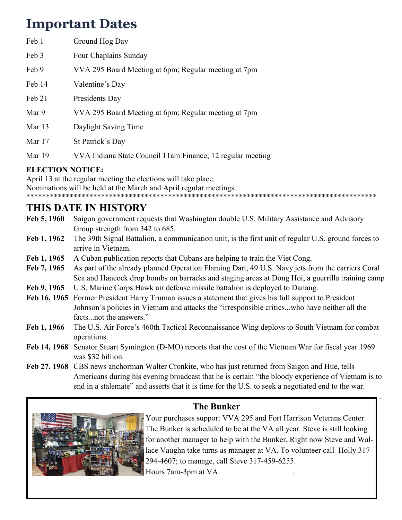# **Important Dates**

| Feb 1    | Ground Hog Day                                             |
|----------|------------------------------------------------------------|
| Feb 3    | Four Chaplains Sunday                                      |
| Feb 9    | VVA 295 Board Meeting at 6pm; Regular meeting at 7pm       |
| Feb 14   | Valentine's Day                                            |
| Feb 21   | Presidents Day                                             |
| Mar 9    | VVA 295 Board Meeting at 6pm; Regular meeting at 7pm       |
| Mar $13$ | Daylight Saving Time                                       |
| Mar $17$ | St Patrick's Day                                           |
| Mar 19   | VVA Indiana State Council 11am Finance; 12 regular meeting |
|          |                                                            |

### **ELECTION NOTICE:**

April 13 at the regular meeting the elections will take place. Nominations will be held at the March and April regular meetings. \*\*\*\*\*\*\*\*\*\*\*\*\*\*\*\*\*\*\*\*\*\*\*\*\*\*\*\*\*\*\*\*\*\*\*\*\*\*\*\*\*\*\*\*\*\*\*\*\*\*\*\*\*\*\*\*\*\*\*\*\*\*\*\*\*\*\*\*\*\*\*\*\*\*\*\*\*\*\*\*\*\*\*\*\*\*\*\*\*

# **THIS DATE IN HISTORY**

- **Feb 5, 1960** Saigon government requests that Washington double U.S. Military Assistance and Advisory Group strength from 342 to 685.
- **Feb 1, 1962** The 39th Signal Battalion, a communication unit, is the first unit of regular U.S. ground forces to arrive in Vietnam.
- Feb 1, 1965 A Cuban publication reports that Cubans are helping to train the Viet Cong.
- **Feb 7, 1965** As part of the already planned Operation Flaming Dart, 49 U.S. Navy jets from the carriers Coral Sea and Hancock drop bombs on barracks and staging areas at Dong Hoi, a guerrilla training camp
- **Feb 9, 1965** U.S. Marine Corps Hawk air defense missile battalion is deployed to Danang.
- **Feb 16, 1965** Former President Harry Truman issues a statement that gives his full support to President Johnson's policies in Vietnam and attacks the "irresponsible critics...who have neither all the facts...not the answers."
- **Feb 1, 1966** The U.S. Air Force's 460th Tactical Reconnaissance Wing deploys to South Vietnam for combat operations.
- **Feb 14, 1968** Senator Stuart Symington (D-MO) reports that the cost of the Vietnam War for fiscal year 1969 was \$32 billion.
- **Feb 27. 1968** CBS news anchorman Walter Cronkite, who has just returned from Saigon and Hue, tells Americans during his evening broadcast that he is certain "the bloody experience of Vietnam is to end in a stalemate" and asserts that it is time for the U.S. to seek a negotiated end to the war.



**The Bunker** 

Your purchases support VVA 295 and Fort Harrison Veterans Center. The Bunker is scheduled to be at the VA all year. Steve is still looking for another manager to help with the Bunker. Right now Steve and Wallace Vaughn take turns as manager at VA. To volunteer call Holly 317- 294-4607; to manage, call Steve 317-459-6255. Hours 7am-3pm at VA .

.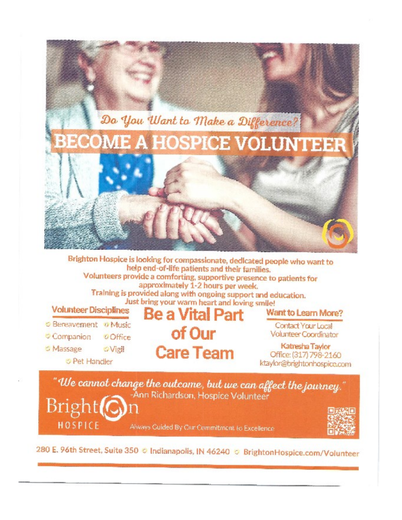

Brighton Hospice is looking for compassionate, dedicated people who want to help end-of-life patients and their families. Volunteers provide a comforting, supportive presence to patients for approximately 1-2 hours per week. Training is provided along with ongoing support and education. Just bring your warm heart and loving smile! **Volunteer Disciplines** Be a Vital Part Want to Learn More? C Bereavement O Music Contact Your Local of Our **Volunteer Coordinator** Companion **O**Office

> Katresha Taylor Office: (317) 798-2160 ktaylor@brightonhospice.com

"We cannot change the outcome, but we can affect the journey." -Ann Richardson, Hospice Volunteer Bright<sub>(</sub>

**Care Team** 

o Massage

**OVigil** 

**O Pet Handler** 

**HOSPICE** 

Always Guided By Our Commitment to Excellence



280 E. 96th Street, Suite 350 © Indianapolis, IN 46240 ⊙ BrightonHospice.com/Volunteer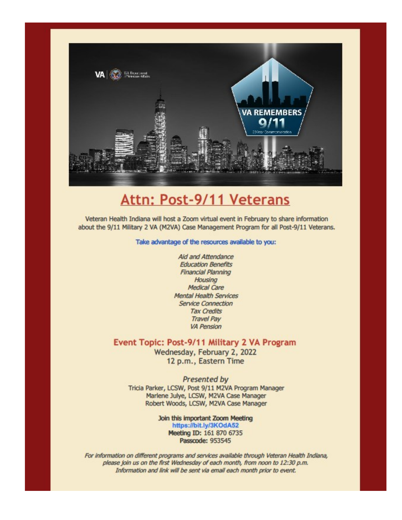

# **Attn: Post-9/11 Veterans**

Veteran Health Indiana will host a Zoom virtual event in February to share information about the 9/11 Military 2 VA (M2VA) Case Management Program for all Post-9/11 Veterans.

#### Take advantage of the resources available to you:

Aid and Attendance **Education Benefits Financial Planning** Housing **Medical Care Mental Health Services Service Connection Tax Credits Travel Pav VA Pension** 

#### Event Topic: Post-9/11 Military 2 VA Program

Wednesday, February 2, 2022 12 p.m., Eastern Time

Presented by Tricia Parker, LCSW, Post 9/11 M2VA Program Manager Marlene Julye, LCSW, M2VA Case Manager Robert Woods, LCSW, M2VA Case Manager

> Join this important Zoom Meeting https://bit.ly/3KOdA52 Meeting ID: 161 870 6735 Passcode: 953545

For information on different programs and services available through Veteran Health Indiana, please join us on the first Wednesday of each month, from noon to 12:30 p.m. Information and link will be sent via email each month prior to event.